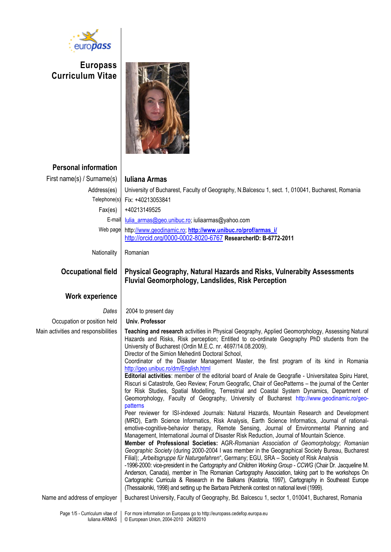

**Europass Curriculum Vitae**



**Personal information** First name(s) / Surname(s) **Iuliana Armas** Address(es) | University of Bucharest, Faculty of Geography, N.Balcescu 1, sect. 1, 010041, Bucharest, Romania Telephone(s) Fix: +40213053841 Fax(es) +40213149525 E-mail lulia\_armas@geo.unibuc.ro; [iuliaarmas@yahoo.com](mailto:g.posea.geo@spiruharet.ro) Web page [http://www.geodinamic.ro;](http://www.geodinamic.ro/) **[http://www.unibuc.ro/prof/armas\\_i/](http://www.unibuc.ro/prof/armas_i/)** <http://orcid.org/0000-0002-8020-6767> **ResearcherID: B-6772-2011** Nationality | Romanian **Occupational field Physical Geography, Natural Hazards and Risks, Vulnerabity Assessments Fluvial Geomorphology, Landslides, Risk Perception Work experience** *Dates* 2004 to present day Occupation or position held **Univ. Professor**  Main activities and responsibilities **Teaching and research** activities in Physical Geography, Applied Geomorphology, Assessing Natural Hazards and Risks, Risk perception; Entitled to co-ordinate Geography PhD students from the University of Bucharest (Ordin M.E.C. nr. 4697/14.08.2009). Director of the Simion Mehedinti Doctoral School, Coordinator of the Disaster Management Master, the first program of its kind in Romania <http://geo.unibuc.ro/dm/English.html> **Editorial activities**: member of the editorial board of Anale de Geografie - Universitatea Spiru Haret, Riscuri si Catastrofe, Geo Review; Forum Geografic, Chair of GeoPatterns – the journal of the Center for Risk Studies, Spatial Modelling, Terrestrial and Coastal System Dynamics, Department of Geomorphology, Faculty of Geography, University of Bucharest http://www.geodinamic.ro/geopatterns Peer reviewer for ISI-indexed Journals: Natural Hazards, Mountain Research and Development (MRD), Earth Science Informatics, Risk Analysis, Earth Science Informatics, Journal of rationalemotive-cognitive-behavior therapy, Remote Sensing, Journal of Environmental Planning and Management, International Journal of Disaster Risk Reduction, Journal of Mountain Science. **Member of Professional Societies:** AGR-*Romanian Association of Geomorphology*; *Romanian Geographic Society* (during 2000-2004 I was member in the Geographical Society Bureau, Bucharest Filial); "*Arbeitsgruppe für Naturgefahren*", Germany; EGU, SRA – Society of Risk Analysis -1996-2000: vice-president in the *Cartography and Children Working Group - CCWG* (Chair Dr. Jacqueline M. Anderson, Canada), member in The Romanian Cartography Association, taking part to the workshops On Cartographic Curricula & Research in the Balkans (Kastoria, 1997), Cartography in Southeast Europe (Thessaloniki, 1998) and setting up the Barbara Petchenik contest on national level (1999). Name and address of employer | Bucharest University, Faculty of Geography, Bd. Balcescu 1, sector 1, 010041, Bucharest, Romania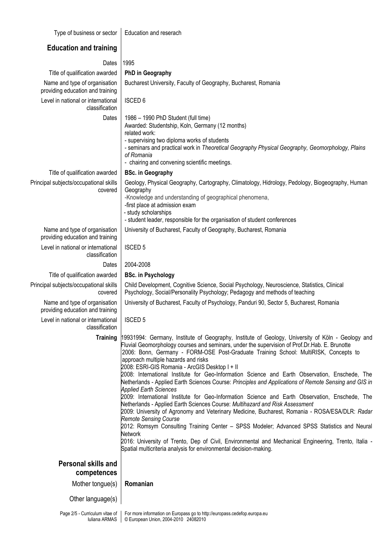Type of business or sector  $\vert$  Education and reserach

| <b>Education and training</b>                                     |                                                                                                                                                                                                                                                                                                                                                                                                                                                                                                                                                                                                                                                                                                                                                                                                                                                                                                                                                                                                                                                                                                                                                                                                                                                   |  |  |  |  |
|-------------------------------------------------------------------|---------------------------------------------------------------------------------------------------------------------------------------------------------------------------------------------------------------------------------------------------------------------------------------------------------------------------------------------------------------------------------------------------------------------------------------------------------------------------------------------------------------------------------------------------------------------------------------------------------------------------------------------------------------------------------------------------------------------------------------------------------------------------------------------------------------------------------------------------------------------------------------------------------------------------------------------------------------------------------------------------------------------------------------------------------------------------------------------------------------------------------------------------------------------------------------------------------------------------------------------------|--|--|--|--|
| Dates                                                             | 1995                                                                                                                                                                                                                                                                                                                                                                                                                                                                                                                                                                                                                                                                                                                                                                                                                                                                                                                                                                                                                                                                                                                                                                                                                                              |  |  |  |  |
| Title of qualification awarded                                    | <b>PhD in Geography</b>                                                                                                                                                                                                                                                                                                                                                                                                                                                                                                                                                                                                                                                                                                                                                                                                                                                                                                                                                                                                                                                                                                                                                                                                                           |  |  |  |  |
| Name and type of organisation<br>providing education and training | Bucharest University, Faculty of Geography, Bucharest, Romania                                                                                                                                                                                                                                                                                                                                                                                                                                                                                                                                                                                                                                                                                                                                                                                                                                                                                                                                                                                                                                                                                                                                                                                    |  |  |  |  |
| Level in national or international<br>classification              | <b>ISCED 6</b>                                                                                                                                                                                                                                                                                                                                                                                                                                                                                                                                                                                                                                                                                                                                                                                                                                                                                                                                                                                                                                                                                                                                                                                                                                    |  |  |  |  |
| Dates                                                             | 1986 - 1990 PhD Student (full time)<br>Awarded: Studentship, Koln, Germany (12 months)<br>related work:<br>- supervising two diploma works of students<br>- seminars and practical work in Theoretical Geography Physical Geography, Geomorphology, Plains<br>of Romania<br>- chairing and convening scientific meetings.                                                                                                                                                                                                                                                                                                                                                                                                                                                                                                                                                                                                                                                                                                                                                                                                                                                                                                                         |  |  |  |  |
| Title of qualification awarded                                    | <b>BSc. in Geography</b>                                                                                                                                                                                                                                                                                                                                                                                                                                                                                                                                                                                                                                                                                                                                                                                                                                                                                                                                                                                                                                                                                                                                                                                                                          |  |  |  |  |
| Principal subjects/occupational skills<br>covered                 | Geology, Physical Geography, Cartography, Climatology, Hidrology, Pedology, Biogeography, Human<br>Geography<br>-Knowledge and understanding of geographical phenomena,<br>-first place at admission exam<br>- study scholarships<br>- student leader, responsible for the organisation of student conferences                                                                                                                                                                                                                                                                                                                                                                                                                                                                                                                                                                                                                                                                                                                                                                                                                                                                                                                                    |  |  |  |  |
| Name and type of organisation<br>providing education and training | University of Bucharest, Faculty of Geography, Bucharest, Romania                                                                                                                                                                                                                                                                                                                                                                                                                                                                                                                                                                                                                                                                                                                                                                                                                                                                                                                                                                                                                                                                                                                                                                                 |  |  |  |  |
| Level in national or international<br>classification              | <b>ISCED 5</b>                                                                                                                                                                                                                                                                                                                                                                                                                                                                                                                                                                                                                                                                                                                                                                                                                                                                                                                                                                                                                                                                                                                                                                                                                                    |  |  |  |  |
| Dates                                                             | 2004-2008                                                                                                                                                                                                                                                                                                                                                                                                                                                                                                                                                                                                                                                                                                                                                                                                                                                                                                                                                                                                                                                                                                                                                                                                                                         |  |  |  |  |
| Title of qualification awarded                                    | <b>BSc. in Psychology</b>                                                                                                                                                                                                                                                                                                                                                                                                                                                                                                                                                                                                                                                                                                                                                                                                                                                                                                                                                                                                                                                                                                                                                                                                                         |  |  |  |  |
| Principal subjects/occupational skills<br>covered                 | Child Development, Cognitive Science, Social Psychology, Neuroscience, Statistics, Clinical<br>Psychology, Social/Personality Psychology; Pedagogy and methods of teaching                                                                                                                                                                                                                                                                                                                                                                                                                                                                                                                                                                                                                                                                                                                                                                                                                                                                                                                                                                                                                                                                        |  |  |  |  |
| Name and type of organisation<br>providing education and training | University of Bucharest, Faculty of Psychology, Panduri 90, Sector 5, Bucharest, Romania                                                                                                                                                                                                                                                                                                                                                                                                                                                                                                                                                                                                                                                                                                                                                                                                                                                                                                                                                                                                                                                                                                                                                          |  |  |  |  |
| Level in national or international<br>classification              | <b>ISCED 5</b>                                                                                                                                                                                                                                                                                                                                                                                                                                                                                                                                                                                                                                                                                                                                                                                                                                                                                                                                                                                                                                                                                                                                                                                                                                    |  |  |  |  |
| <b>Training</b>                                                   | 19931994: Germany, Institute of Geography, Institute of Geology, University of Köln - Geology and<br>Fluvial Geomorphology courses and seminars, under the supervision of Prof.Dr.Hab. E. Brunotte<br>2006: Bonn, Germany - FORM-OSE Post-Graduate Training School: MultiRISK, Concepts to<br>approach multiple hazards and risks<br>2008: ESRI-GIS Romania - ArcGIS Desktop I + II<br>2008: International Institute for Geo-Information Science and Earth Observation, Enschede, The<br>Netherlands - Applied Earth Sciences Course: Principles and Applications of Remote Sensing and GIS in<br><b>Applied Earth Sciences</b><br>2009: International Institute for Geo-Information Science and Earth Observation, Enschede, The<br>Netherlands - Applied Earth Sciences Course: Multihazard and Risk Assessment<br>2009: University of Agronomy and Veterinary Medicine, Bucharest, Romania - ROSA/ESA/DLR: Radar<br><b>Remote Sensing Course</b><br>2012: Romsym Consulting Training Center - SPSS Modeler; Advanced SPSS Statistics and Neural<br><b>Network</b><br>2016: University of Trento, Dep of Civil, Environmental and Mechanical Engineering, Trento, Italia -<br>Spatial multicriteria analysis for environmental decision-making. |  |  |  |  |
| <b>Personal skills and</b>                                        |                                                                                                                                                                                                                                                                                                                                                                                                                                                                                                                                                                                                                                                                                                                                                                                                                                                                                                                                                                                                                                                                                                                                                                                                                                                   |  |  |  |  |
| competences                                                       |                                                                                                                                                                                                                                                                                                                                                                                                                                                                                                                                                                                                                                                                                                                                                                                                                                                                                                                                                                                                                                                                                                                                                                                                                                                   |  |  |  |  |
| Mother tongue(s)                                                  | Romanian                                                                                                                                                                                                                                                                                                                                                                                                                                                                                                                                                                                                                                                                                                                                                                                                                                                                                                                                                                                                                                                                                                                                                                                                                                          |  |  |  |  |
| Other language(s)                                                 |                                                                                                                                                                                                                                                                                                                                                                                                                                                                                                                                                                                                                                                                                                                                                                                                                                                                                                                                                                                                                                                                                                                                                                                                                                                   |  |  |  |  |

For more information on Europass go to http://europass.cedefop.europa.eu © European Union, 2004-2010 24082010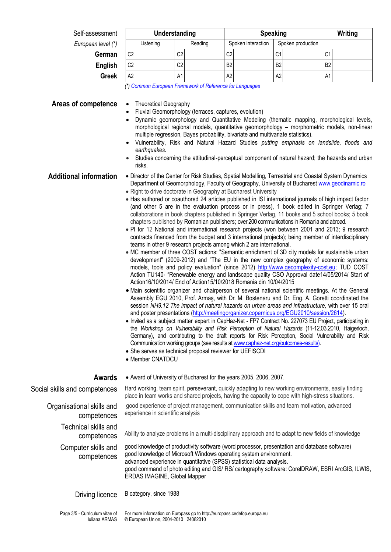| Self-assessment                                 | Understanding                                                                                                                                                                                                                                                                                                                                                                                                                                                                                                                                                                                                                                                                                                                                                                                                                                                                                                                                                                                                                                                                                                                                                                                                                                                                                                                                                                                                                                                                                                                                                                                                                                                                                                                                                                                                                                                                                                                                                                                                                                                                                                                                                                                                                    |                |                | <b>Speaking</b>    |                   | Writing        |  |  |
|-------------------------------------------------|----------------------------------------------------------------------------------------------------------------------------------------------------------------------------------------------------------------------------------------------------------------------------------------------------------------------------------------------------------------------------------------------------------------------------------------------------------------------------------------------------------------------------------------------------------------------------------------------------------------------------------------------------------------------------------------------------------------------------------------------------------------------------------------------------------------------------------------------------------------------------------------------------------------------------------------------------------------------------------------------------------------------------------------------------------------------------------------------------------------------------------------------------------------------------------------------------------------------------------------------------------------------------------------------------------------------------------------------------------------------------------------------------------------------------------------------------------------------------------------------------------------------------------------------------------------------------------------------------------------------------------------------------------------------------------------------------------------------------------------------------------------------------------------------------------------------------------------------------------------------------------------------------------------------------------------------------------------------------------------------------------------------------------------------------------------------------------------------------------------------------------------------------------------------------------------------------------------------------------|----------------|----------------|--------------------|-------------------|----------------|--|--|
| European level (*)                              | Listening                                                                                                                                                                                                                                                                                                                                                                                                                                                                                                                                                                                                                                                                                                                                                                                                                                                                                                                                                                                                                                                                                                                                                                                                                                                                                                                                                                                                                                                                                                                                                                                                                                                                                                                                                                                                                                                                                                                                                                                                                                                                                                                                                                                                                        | Reading        |                | Spoken interaction | Spoken production |                |  |  |
| German                                          | C <sub>2</sub>                                                                                                                                                                                                                                                                                                                                                                                                                                                                                                                                                                                                                                                                                                                                                                                                                                                                                                                                                                                                                                                                                                                                                                                                                                                                                                                                                                                                                                                                                                                                                                                                                                                                                                                                                                                                                                                                                                                                                                                                                                                                                                                                                                                                                   | C <sub>2</sub> | C <sub>2</sub> |                    | C1                | C <sub>1</sub> |  |  |
| <b>English</b>                                  | C <sub>2</sub>                                                                                                                                                                                                                                                                                                                                                                                                                                                                                                                                                                                                                                                                                                                                                                                                                                                                                                                                                                                                                                                                                                                                                                                                                                                                                                                                                                                                                                                                                                                                                                                                                                                                                                                                                                                                                                                                                                                                                                                                                                                                                                                                                                                                                   | C <sub>2</sub> | B <sub>2</sub> |                    | B <sub>2</sub>    | B <sub>2</sub> |  |  |
| <b>Greek</b>                                    | A <sub>2</sub>                                                                                                                                                                                                                                                                                                                                                                                                                                                                                                                                                                                                                                                                                                                                                                                                                                                                                                                                                                                                                                                                                                                                                                                                                                                                                                                                                                                                                                                                                                                                                                                                                                                                                                                                                                                                                                                                                                                                                                                                                                                                                                                                                                                                                   | A1             | A <sub>2</sub> |                    | A <sub>2</sub>    | A1             |  |  |
| Areas of competence                             | (*) Common European Framework of Reference for Languages<br><b>Theoretical Geography</b><br>Fluvial Geomorphology (terraces, captures, evolution)<br>Dynamic geomorphology and Quantitative Modeling (thematic mapping, morphological levels,<br>morphological regional models, quantitative geomorphology - morphometric models, non-linear<br>multiple regression, Bayes probability, bivariate and multivariate statistics).<br>Vulnerability, Risk and Natural Hazard Studies putting emphasis on landslide, floods and                                                                                                                                                                                                                                                                                                                                                                                                                                                                                                                                                                                                                                                                                                                                                                                                                                                                                                                                                                                                                                                                                                                                                                                                                                                                                                                                                                                                                                                                                                                                                                                                                                                                                                      |                |                |                    |                   |                |  |  |
|                                                 | earthquakes.<br>Studies concerning the attitudinal-perceptual component of natural hazard; the hazards and urban<br>risks.<br>• Director of the Center for Risk Studies, Spatial Modelling, Terrestrial and Coastal System Dynamics                                                                                                                                                                                                                                                                                                                                                                                                                                                                                                                                                                                                                                                                                                                                                                                                                                                                                                                                                                                                                                                                                                                                                                                                                                                                                                                                                                                                                                                                                                                                                                                                                                                                                                                                                                                                                                                                                                                                                                                              |                |                |                    |                   |                |  |  |
| <b>Additional information</b>                   | Department of Geomorphology, Faculty of Geography, University of Bucharest www.geodinamic.ro<br>• Right to drive doctorate in Geography at Bucharest University<br>• Has authored or coauthored 24 articles published in ISI international journals of high impact factor<br>(and other 5 are in the evaluation process or in press), 1 book edited in Springer Verlag; 7<br>collaborations in book chapters published in Springer Verlag, 11 books and 5 school books; 5 book<br>chapters published by Romanian publishers; over 200 communications in Romania and abroad.<br>. PI for 12 National and international research projects (won between 2001 and 2013; 9 research<br>contracts financed from the budget and 3 international projects); being member of interdisciplinary<br>teams in other 9 research projects among which 2 are international.<br>• MC member of three COST actions: "Semantic enrichment of 3D city models for sustainable urban<br>development" (2009-2012) and "The EU in the new complex geography of economic systems:<br>models, tools and policy evaluation" (since 2012) http://www.gecomplexity-cost.eu; TUD COST<br>Action TU140- "Renewable energy and landscape quality CSO Approval date14/05/2014/ Start of<br>Action 16/10/2014/ End of Action 15/10/2018 Romania din 10/04/2015<br>• Main scientific organizer and chairperson of several national scientific meetings. At the General<br>Assembly EGU 2010, Prof. Armaş, with Dr. M. Bostenaru and Dr. Eng. A. Goretti coordinated the<br>session NH9.12 The impact of natural hazards on urban areas and infrastructure, with over 15 oral<br>and poster presentations (http://meetingorganizer.copernicus.org/EGU2010/session/2614).<br>Invited as a subject matter expert in CapHaz-Net - FP7 Contract No. 227073 EU Project, participating in<br>the Workshop on Vulnerability and Risk Perception of Natural Hazards (11-12.03.2010, Haigerloch,<br>Germany), and contributing to the draft reports for Risk Perception, Social Vulnerability and Risk<br>Communication working groups (see results at www.caphaz-net.org/outcomes-results).<br>• She serves as technical proposal reviewer for UEFISCDI<br>• Member CNATDCU |                |                |                    |                   |                |  |  |
| <b>Awards</b>                                   | • Award of University of Bucharest for the years 2005, 2006, 2007.                                                                                                                                                                                                                                                                                                                                                                                                                                                                                                                                                                                                                                                                                                                                                                                                                                                                                                                                                                                                                                                                                                                                                                                                                                                                                                                                                                                                                                                                                                                                                                                                                                                                                                                                                                                                                                                                                                                                                                                                                                                                                                                                                               |                |                |                    |                   |                |  |  |
| Social skills and competences                   | Hard working, team spirit, perseverant, quickly adapting to new working environments, easily finding<br>place in team works and shared projects, having the capacity to cope with high-stress situations.                                                                                                                                                                                                                                                                                                                                                                                                                                                                                                                                                                                                                                                                                                                                                                                                                                                                                                                                                                                                                                                                                                                                                                                                                                                                                                                                                                                                                                                                                                                                                                                                                                                                                                                                                                                                                                                                                                                                                                                                                        |                |                |                    |                   |                |  |  |
| Organisational skills and<br>competences        | good experience of project management, communication skills and team motivation, advanced<br>experience in scientific analysis                                                                                                                                                                                                                                                                                                                                                                                                                                                                                                                                                                                                                                                                                                                                                                                                                                                                                                                                                                                                                                                                                                                                                                                                                                                                                                                                                                                                                                                                                                                                                                                                                                                                                                                                                                                                                                                                                                                                                                                                                                                                                                   |                |                |                    |                   |                |  |  |
| Technical skills and<br>competences             | Ability to analyze problems in a multi-disciplinary approach and to adapt to new fields of knowledge                                                                                                                                                                                                                                                                                                                                                                                                                                                                                                                                                                                                                                                                                                                                                                                                                                                                                                                                                                                                                                                                                                                                                                                                                                                                                                                                                                                                                                                                                                                                                                                                                                                                                                                                                                                                                                                                                                                                                                                                                                                                                                                             |                |                |                    |                   |                |  |  |
| Computer skills and<br>competences              | good knowledge of productivity software (word processor, presentation and database software)<br>good knowledge of Microsoft Windows operating system environment.<br>advanced experience in quantitative (SPSS) statistical data analysis.<br>good command of photo editing and GIS/ RS/ cartography software: CorelDRAW, ESRI ArcGIS, ILWIS,<br>ERDAS IMAGINE, Global Mapper                                                                                                                                                                                                                                                                                                                                                                                                                                                                                                                                                                                                                                                                                                                                                                                                                                                                                                                                                                                                                                                                                                                                                                                                                                                                                                                                                                                                                                                                                                                                                                                                                                                                                                                                                                                                                                                    |                |                |                    |                   |                |  |  |
| Driving licence                                 | B category, since 1988                                                                                                                                                                                                                                                                                                                                                                                                                                                                                                                                                                                                                                                                                                                                                                                                                                                                                                                                                                                                                                                                                                                                                                                                                                                                                                                                                                                                                                                                                                                                                                                                                                                                                                                                                                                                                                                                                                                                                                                                                                                                                                                                                                                                           |                |                |                    |                   |                |  |  |
| Page 3/5 - Curriculum vitae of<br>Iuliana ARMAS | For more information on Europass go to http://europass.cedefop.europa.eu<br>© European Union, 2004-2010 24082010                                                                                                                                                                                                                                                                                                                                                                                                                                                                                                                                                                                                                                                                                                                                                                                                                                                                                                                                                                                                                                                                                                                                                                                                                                                                                                                                                                                                                                                                                                                                                                                                                                                                                                                                                                                                                                                                                                                                                                                                                                                                                                                 |                |                |                    |                   |                |  |  |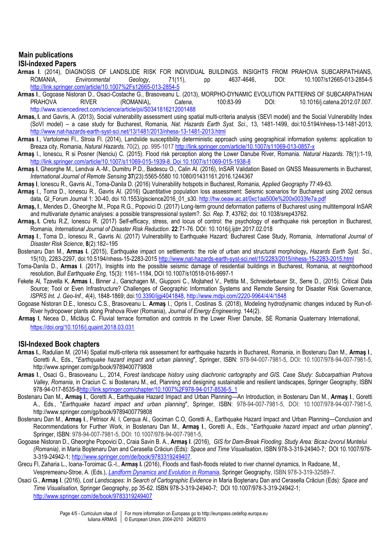# **Main publications**

## **ISI-indexed Papers**

- **Armas I**. (2014), DIAGNOSIS OF LANDSLIDE RISK FOR INDIVIDUAL BUILDINGS. INSIGHTS FROM PRAHOVA SUBCARPATHIANS, ROMANIA, *Environmental Geology*, 71(11), pp 4637-4646, DOI: 10.1007/s12665-013-2854-5 <http://link.springer.com/article/10.1007%2Fs12665-013-2854-5>
- **Armas I**., Gogoase Nistoran D., Osaci-Costache G., Brasoveanu L. (2013), MORPHO-DYNAMIC EVOLUTION PATTERNS OF SUBCARPATHIAN PRAHOVA RIVER (ROMANIA)**,** *Catena*, 100:83-99 DOI: 10.1016/j.catena.2012.07.007. http://www.sciencedirect.com/science/article/pii/S0341816212001488
- **Armas, I.** and Gavris, A. (2013), Social vulnerability assessment using spatial multi-criteria analysis (SEVI model) and the Social Vulnerability Index (SoVI model) – a case study for Bucharest, Romania, *Nat. Hazards Earth Syst. Sci*., 13, 1481-1499, doi:10.5194/nhess-13-1481-2013, <http://www.nat-hazards-earth-syst-sci.net/13/1481/2013/nhess-13-1481-2013.html>
- **Armas I**., Vartolomei Fl., Stroia Fl. (2014), Landslide susceptibility deterministic approach using geographical information systems: application to Breaza city, Romania, *Natural Hazards,* 70(2), pp. 995-1017 <http://link.springer.com/article/10.1007/s11069-013-0857-x>
- **Armaş** I., Ionescu, R si Posner (Nenciu) C. (2015). Flood risk perception along the Lower Danube River, Romania. *Natural Hazards*. 78(1):1-19, [http://link.springer.com/article/10.1007/s11069-015-1939-8. Doi 10.1007/s11069-015-1938-8](http://link.springer.com/article/10.1007/s11069-015-1939-8.%20Doi%2010.1007/s11069-015-1938-8)
- **Armaș I**, Gheorghe M., Lendvai A.-M., Dumitru P.D., Badescu O., Calin Al. (2016), InSAR Validation Based on GNSS Measurements in Bucharest*, International Journal of Remote Sensing* **37**(23):5565-5580 10.1080/01431161.2016.1244367
- **Armaș I**, Ionescu R., Gavris Al., Toma-Danila D. (2016) Vulnerability hotspots in Bucharest, Romania, *Applied Geography* 77:49-63.
- **Armaş** I., Toma D., Ionescu R., Gavris Al. (2016) Quantitative population loss assessment: Seismic scenarios for Bucharest using 2002 census data, GI\_Forum Journal 1: 30-40, doi 10.1553/giscience2016\_01\_s30. http://hw.oeaw.ac.at/0xc1aa500e%200x0033fe7a.pdf
- **Armaş, I**., Mendes D., Gheorghe M., Popa R.G., Popovici D. (2017) Long-term ground deformation patterns of Bucharest using multitemporal InSAR and multivariate dynamic analyses: a possible transpressional system?. *Sci. Rep.* **7**, 43762; doi: 10.1038/srep43762.
- **Armaş, I.** Cretu R.Z, Ionescu R. (2017) Self-efficacy, stress, and locus of control: the psychology of earthquake risk perception in Bucharest, Romania, *International Journal of Disaster Risk Reduction*. **22**:71-76. DOI: 10.1016/j.ijdrr.2017.02.018
- **Armaş I**., Toma D., Ionescu R., Gavris Al. (2017) Vulnerability to Earthquake Hazard: Bucharest Case Study, Romania, *International Journal of Disaster Risk Science*, **8**(2):182–195
- Bostenaru Dan M., **Armas I.** (2015), Earthquake impact on settlements: the role of urban and structural morphology**,** *Hazards Earth Syst. Sci*., 15(10), 2283-2297, doi:10.5194/nhess-15-2283-201[5 http://www.nat-hazards-earth-syst-sci.net/15/2283/2015/nhess-15-2283-2015.html](http://www.nat-hazards-earth-syst-sci.net/15/2283/2015/nhess-15-2283-2015.html)
- Toma-Danila D., **Armas I**. (2017), Insights into the possible seismic damage of residential buildings in Bucharest, Romania, at neighborhood resolution, *Bull Earthquake Eng*, 15(3): 1161–1184, DOI 10.1007/s10518-016-9997-1
- Fekete Al, Tzavella K, **Armas I**., Binner J., Garschagen M., Giupponi C., Mojtahed V., Pettita M., Schneiderbauer St., Serre D., (2015). Critical Data Source; Tool or Even Infrastructure? Challenges of Geographic Information Systems and Remote Sensing for Disaster Risk Governance, *ISPRS Int. J. Geo-Inf.*, *4*(4), 1848-1869; doi[:10.3390/ijgi4041848,](http://dx.doi.org/10.3390/ijgi4041848)<http://www.mdpi.com/2220-9964/4/4/1848>
- Gogoase Nistoran D.E., Ionescu C.S., Brasoveanu L. **Armaş** I., Opris I., Costinas S. (2018), Modeling hydrodynamic changes induced by Run-of-River hydropower plants along Prahova River (Romania), *Journal of Energy Engineering*. 144(2).
- **Armaş I**, Necea D., Miclăuș C. Fluvial terrace formation and controls in the Lower River Danube, SE Romania Quaternary International, <https://doi.org/10.1016/j.quaint.2018.03.031>

### **ISI-Indexed Book chapters**

- **Armas I.**, Radulian M. (2014) Spatial multi-criteria risk assessment for earthquake hazards in Bucharest, Romania, in Bostenaru Dan M., **Armaş I**., Goretti A., Eds., "*Earthquake hazard impact and urban planning*", Springer, ISBN: 978-94-007-7981-5, DOI: 10.1007/978-94-007-7981-5, http://www.springer.com/gp/book/9789400779808
- **Armas I**., Osaci G., Brasoveanu L., 2014, *Forest landscape history using diachronic cartography and GIS. Case Study: Subcarpathian Prahova Valley, Romania*, in Craciun C. si Bostenaru M., ed, Planning and designing sustainable and resilient landscapes, Springer Geography, ISBN 978-94-017-8535-[8http://link.springer.com/chapter/10.1007%2F978-94-017-8536-5\\_1](http://link.springer.com/chapter/10.1007%2F978-94-017-8536-5_1)
- Bostenaru Dan M., **Armaş I**., Goretti A., Earthquake Hazard Impact and Urban Planning—An Introduction, in Bostenaru Dan M., **Armaş I**., Goretti A., Eds., "*Earthquake hazard impact and urban planning*", Springer, ISBN: 978-94-007-7981-5, DOI: 10.1007/978-94-007-7981-5, http://www.springer.com/gp/book/9789400779808
- Bostenaru Dan M., **Armaş I**., Petrisor Al. I, Cerqua Al., Gociman C.O, Goretti A., Earthquake Hazard Impact and Urban Planning—Conclusion and Recommendations for Further Work, in Bostenaru Dan M., **Armaş I**., Goretti A., Eds., "*Earthquake hazard impact and urban planning*", Springer, ISBN: 978-94-007-7981-5, DOI: 10.1007/978-94-007-7981-5,
- Gogoase Nistoran D., Gheorghe Popovici D., Craia Savin B. A., **Armaş I**. (2016), *GIS for Dam-Break Flooding. Study Area: Bicaz-Izvorul Muntelui (Romania),* in Maria Boştenaru Dan and Cerasella Crăciun (Eds): *Space and Time Visualisation*, ISBN 978-3-319-24940-7; DOI 10.1007/978- 3-319-24942-1[; http://www.springer.com/de/book/9783319249407.](http://www.springer.com/de/book/9783319249407)
- Grecu Fl, Zaharia L., Ioana-Toroimac G.-I., **Armaș I.** (2016), Floods and flash-floods related to river channel dynamics*,* In Radoane, M., Vespremeanu-Stroe, A. (Eds.), *[Landform Dynamics and Evolution in Romania](http://www.springer.com/gp/book/9783319325873)*, Springer Geography, ISBN 978-3-319-32589-7.
- Osaci G., **Armaş I**. (2016), *Lost Landscapes: In Search of Cartographic Evidence* in Maria Boştenaru Dan and Cerasella Crăciun (Eds): *Space and Time Visualisation*, Springer Geography, pp 35-62. ISBN 978-3-319-24940-7; DOI 10.1007/978-3-319-24942-1; <http://www.springer.com/de/book/9783319249407>